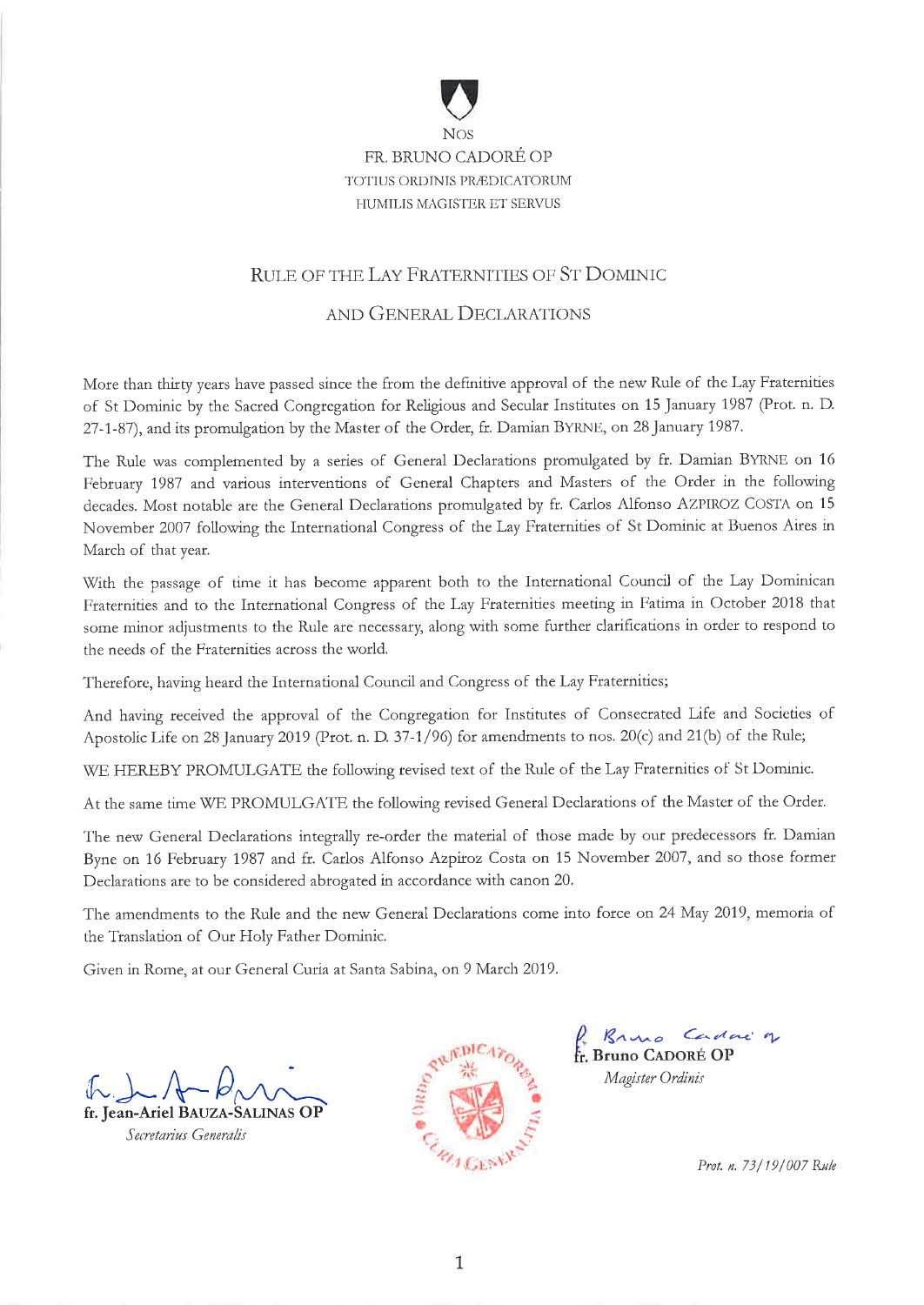

# FR. BRUNO CADORÉ OP TOTIUS ORDINIS PRÆDICATORUM **HUMILIS MAGISTER ET SERVUS**

# RULE OF THE LAY FRATERNITIES OF ST DOMINIC

# AND GENERAL DECLARATIONS

More than thirty years have passed since the from the definitive approval of the new Rule of the Lay Fraternities of St Dominic by the Sacred Congregation for Religious and Secular Institutes on 15 January 1987 (Prot. n. D. 27-1-87), and its promulgation by the Master of the Order, fr. Damian BYRNE, on 28 January 1987.

The Rule was complemented by a series of General Declarations promulgated by fr. Damian BYRNE on 16 February 1987 and various interventions of General Chapters and Masters of the Order in the following decades. Most notable are the General Declarations promulgated by fr. Carlos Alfonso AZPIROZ COSTA on 15 November 2007 following the International Congress of the Lay Fraternities of St Dominic at Buenos Aires in March of that year.

With the passage of time it has become apparent both to the International Council of the Lay Dominican Fraternities and to the International Congress of the Lay Fraternities meeting in Fatima in October 2018 that some minor adjustments to the Rule are necessary, along with some further clarifications in order to respond to the needs of the Fraternities across the world.

Therefore, having heard the International Council and Congress of the Lay Fraternities;

And having received the approval of the Congregation for Institutes of Consecrated Life and Societies of Apostolic Life on 28 January 2019 (Prot. n. D. 37-1/96) for amendments to nos. 20(c) and 21(b) of the Rule;

WE HEREBY PROMULGATE the following revised text of the Rule of the Lay Fraternities of St Dominic.

At the same time WE PROMULGATE the following revised General Declarations of the Master of the Order.

The new General Declarations integrally re-order the material of those made by our predecessors fr. Damian Byne on 16 February 1987 and fr. Carlos Alfonso Azpiroz Costa on 15 November 2007, and so those former Declarations are to be considered abrogated in accordance with canon 20.

The amendments to the Rule and the new General Declarations come into force on 24 May 2019, memoria of the Translation of Our Holy Father Dominic.

Given in Rome, at our General Curia at Santa Sabina, on 9 March 2019.

fr. Jean-Ariel BAUZA-SALINAS OP

Secretarius Generalis



Rano Cadac 7 Magister Ordinis

Prot. n. 73/19/007 Rule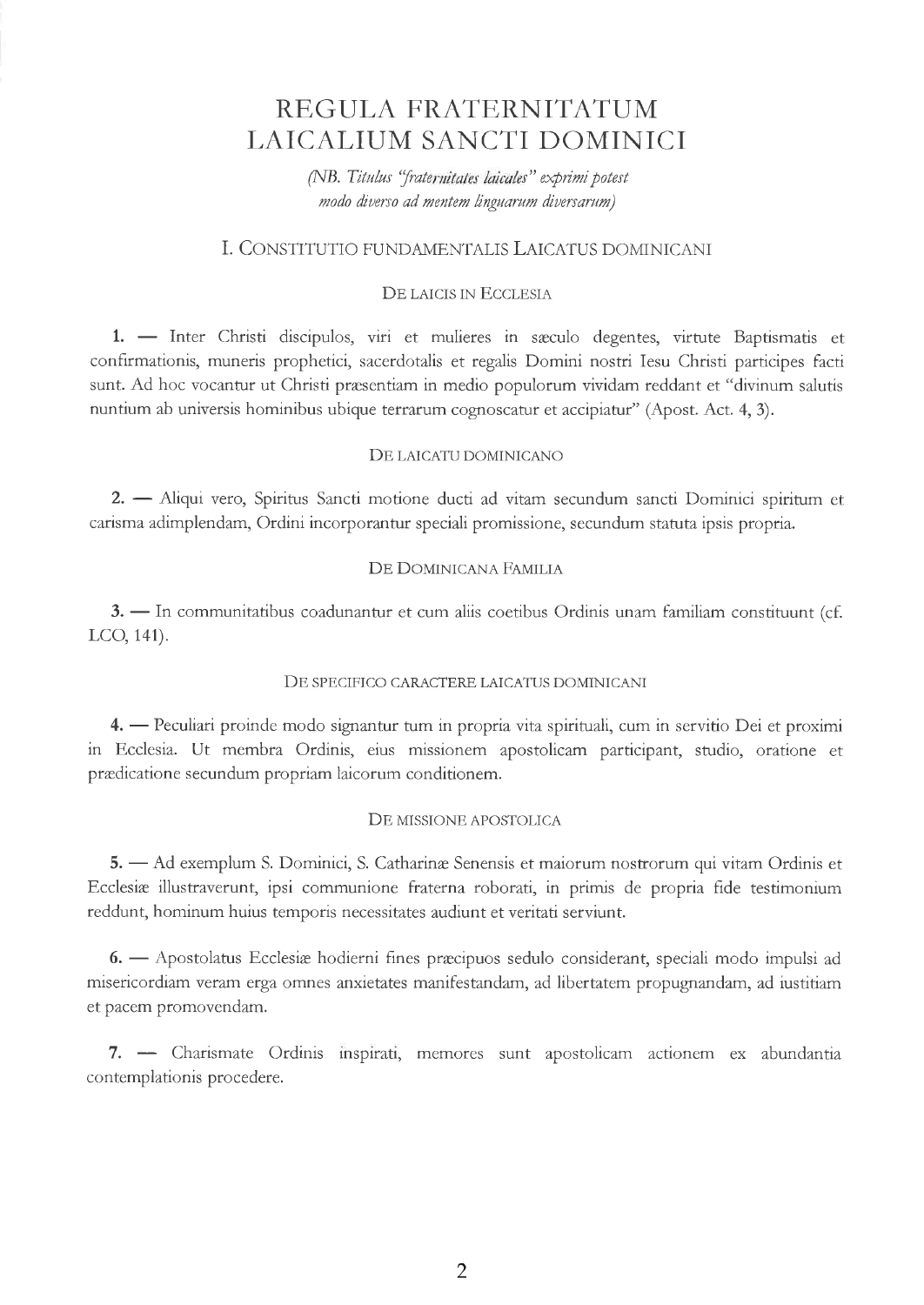# REGULA FRATERNITATUM LAICALIUM SANCTI DOMINICI

(NB. Titulus "fraternitates laicales" exprimi potest nodo diuerso ad mentem lingaarum diuersarwm)

# I. CONSTITUTIO FUNDAMENTALIS LAICATUS DOMINICANI

# DE LAICIS IN ECCLESIA

1. - Inter Christi discipulos, viri et mulieres in sæculo degentes, virtute Baptismatis et 1. — mici Christi discipulos, viri et muneres in saccilo degentes, virtute Dapusmaus et<br>confirmationis, muneris prophetici, sacerdotalis et regalis Domini nostri Iesu Christi participes facti sunt. Ad hoc vocantur ut Christi præsentiam in medio populorum vividam reddant et "divinum salutis nuntium ab universis hominibus ubique terrarum cognoscatur et accipiatur" (Apost. Act. 4, 3).

## DE LAICATU DOMINICANO

2. Aliqui vero, Spiritus Sancti motione ducti ad vitam secundum sancti Dominici spiritum et 2. — Tuiqui vero, Spirius Sancu mouone ducu ad vitam secundum sancu Dominici spiri<br>carisma adimplendam, Ordini incorporantur speciali promissione, secundum statuta ipsis propria

# DE DOMINICANA FAMILIA

3. - In communitatibus coadunantur et cum aliis coetibus Ordinis unam familiam constituunt (cf. - LCO, 141).

## DE SPECIFICO CARACTERE LAICATUS DOMINICANI

4. Peculiari proinde modo signantur tum in propria vita spirituali, cum in servitio Dei et proximi - in Ecclesia. Ut membra Ordinis, eius missionem apostolicam participant, studio, oratione et prædicatione secundum propriam laicorum conditionem.

### DE MISSIONE APOSTOLICA

5. Ad exemplum S. Dominici, S. Catharinæ Senensis et maiorum nostrorum qui vitam Ordinis et 3. The exemplant s. Dominici, s. Catharine senerisis et maiorum nosuorum qui vitam Orumis e<br>Ecclesiæ illustraverunt, ipsi communione fraterna roborati, in primis de propria fide testimonium reddunt, hominum huius temporis necessitates audiunt et veritati serviunt.

6. — Apostolatus Ecclesiæ hodierni fines præcipuos sedulo considerant, speciali modo impulsi ad<br>prisordigm varom erec omnes enviatates menifestendem, ed libertatem nuovementem, ed instituum misericordizm yeràm erga omnes anxietates manifestandam, ad libertatem propugnandzm, ad iustitiam et pacem promovendam.

7. - Charismate Ordinis inspirati, memores sunt apostolicam actionem ex abundantia contemplationis procedere.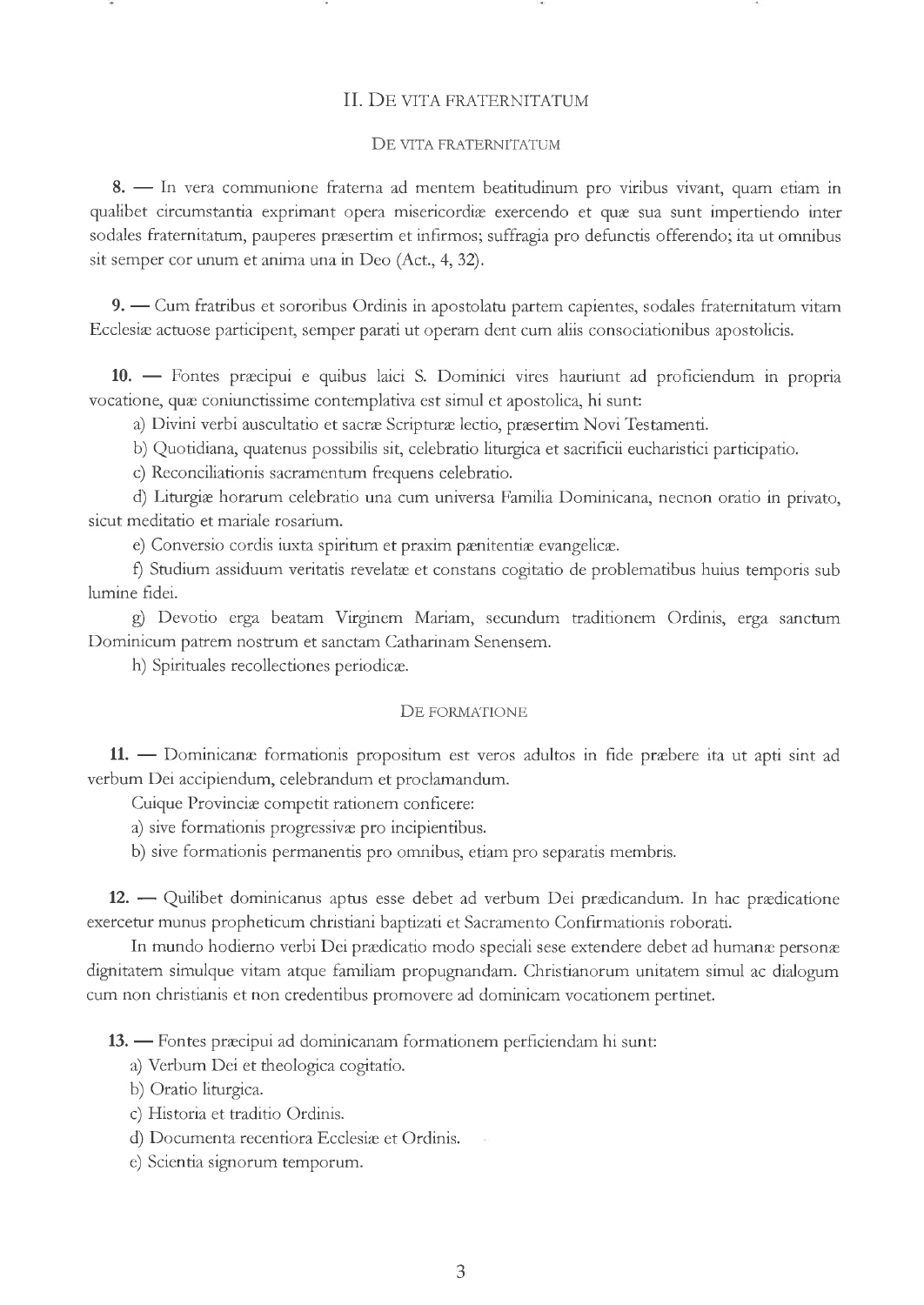### II. DE VITA FRATERNITATUM

#### DE VITA FRATERNITATUM

8. - In vera communione fraterna ad mentem beatitudinum pro viribus vivant, quam etiam in o. In vera communione fraterna au mentem beattudumum pro vinbus vivant, quam cuam in sodales fraternitatum, pauperes præsertim et infirmos; suffragia pro defunctis offerendo; ita ut omnibus sit semper cor unum et anima una in Deo (Act., 4,32).

9. — Cum fratribus et sororibus Ordinis in apostolatu partem capientes, sodales fraternitatum vitam 7. — Cum natibus et sofonbus Orums in apostolatu partem capientes, souales natemitatum<br>Ecclesiæ actuose participent, semper parati ut operam dent cum aliis consociationibus apostolicis

10. Fontes præcipui e quibus laici S. Dominici vires hauriunt ad profìciendum in propria 10. — Tomes pracipur e quibus faier 3. Dominici vites fiautium au<br>vocatione, quæ coniunctissime contemplativa est simul et apostolica, hi sunt:

a) Divini verbi auscultatio et sacræ Scripturæ lectio, præsertim Novi Testamenti.

b) Quotidiana, quatenus possibilis sit, celebratio liturgica et sacrificii eucharistici participatio.

c) Reconciliationis sacramentum frequens celebratio.

d) Liturgiæ horarum celebratio una cum universa Familia Dominicana, necnon oratio in privato, sicut meditatio et mariale rosarium.

e) Conversio cordis iuxta spiritum et praxim pænitentiæ evangelicæ.

f) Studium assiduum veritatis revelatæ et constans cogitatio de problematibus huius temporis sub lumine fidei.

g) Devotio erga beatam Virginem Mariam, secundum traditionem Ordinis, erga sanctum Dominicum patrem nostrum et sanctam Catharinam Senensem.

h) Spirituales recollectiones periodicæ.

#### DE FORMATIONE

11. Dominicanæ formationis propositum est veros adultos in fìde præbere ita ut apti sint ad 1. - Dominicana Tormadonis propositum est vero<br>verbum Dei accipiendum, celebrandum et proclamandum.

Cuique Provinciæ competit rationem conficere:

a) sive formationis progressivæ pro incipientibus.

b) sive formationis permanentis pro omnibus, etiam pro separatis membris.

12. — Quilibet dominicanus aptus esse debet ad verbum Dei prædicandum. In hac prædicatione exercetur munus propheticum christiani baptizati et Sacramento Confirmationis roborati.

In mundo hodierno verbi Dei prædicatio modo speciali sese extendere debet ad humanæ personæ dignitatem simulque vitam atque familiam propugnandam. Christianorum unitatem simul ac dialogum cum non christianis et non credentibus promovere ad dominicam vocationem pertinet.

13. — Fontes præcipui ad dominicanam formationem perficiendam hi sunt:

- a) Verbum Dei et theologica cogitatio.
- b) Oratio liturgica.
- c) Historia et traditio Ordinis.
- d) Documenta recentiora Ecclesiæ et Ordinis.
- e) Scientia signorum temporum.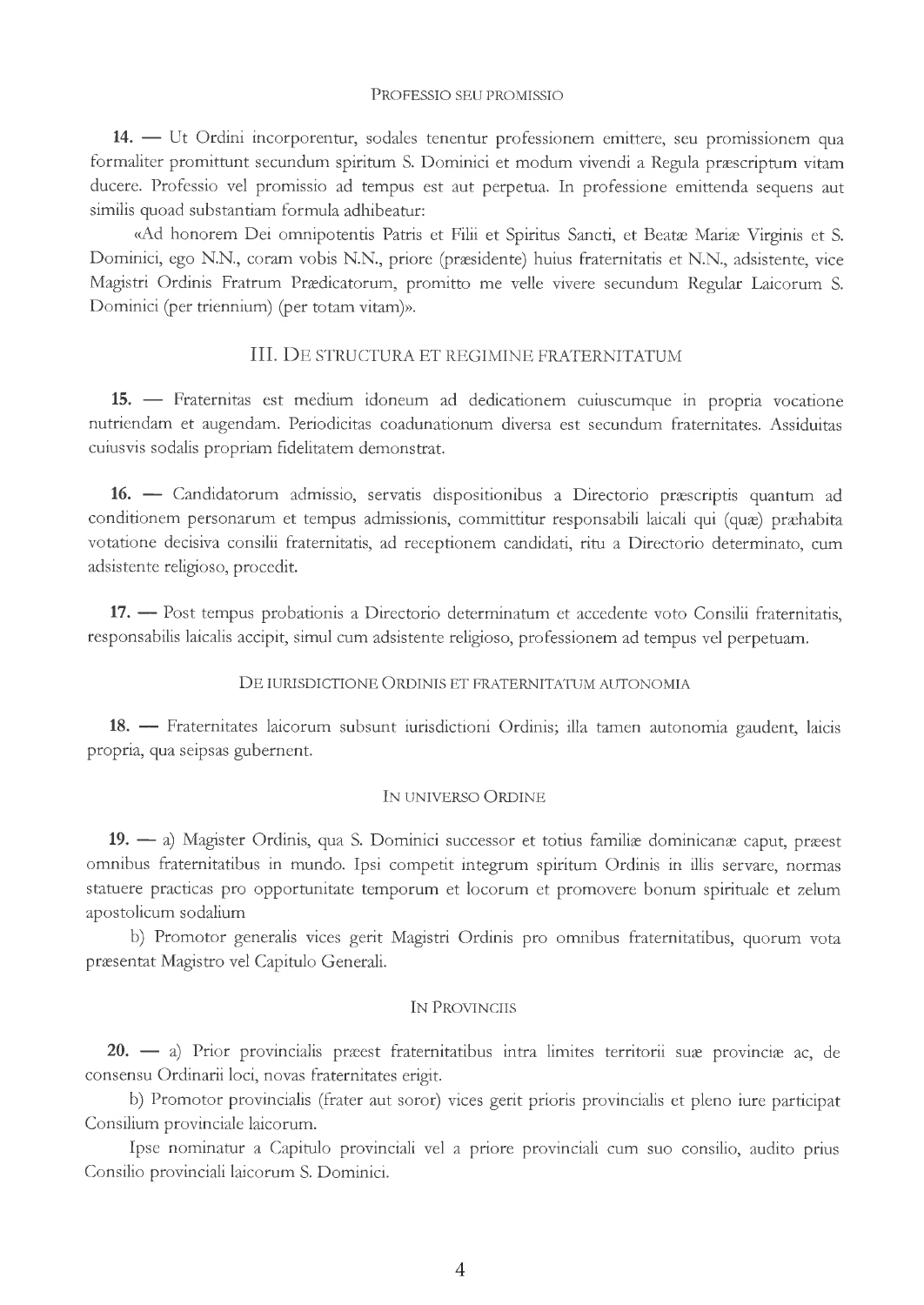#### PRopessIo sEU PRoMrssro

14. - Ut Ordini incorporentur, sodales tenentur professionem emittere, seu promissionem qua 17. – Et Orunn incorporentur, sociales tenentur professionem emittere, seu promissionem qua<br>formaliter promittunt secundum spiritum S. Dominici et modum vivendi a Regula præscriptum vitam ducere. Professio vel promissio ad tempus est aut perpetua. In professione emittenda sequens aut similis quoad substantiam formula adhibeatur:

«Ad honorem Dei omnipotentis Patris et Filii et Spiritus Sancti, et Beatæ Mariæ Virginis et S. Dominici, ego N.N., coram vobis N.N., priore (præsidente) huius fraternitatis et N.N., adsistente, vice Magrstri Ordinis Fratrum Prædicatorum, promitto me velle vivere secundum Regular Laicorum S. Dominici (per triennium) (per totam vitam)».

## III. DE STRUCTURA ET REGIMINE FRATERNITATUM

15. Fraternitas est medium idoneum ad dedicationem cuiuscumque in propria vocatione 13. — Fraterintas est inculum idoneum ad dedicationem culuscumque in propria vocatione<br>nutriendam et augendam. Periodicitas coadunationum diversa est secundum fraternitates. Assiduitas cuiusvis sodalis propriam fidelitatem demonstrat.

16. Candidatorum admissio, servatis dispositionibus a Directorio præscriptis quantum ad 10. — Candidatorum admissio, servatis dispositionibus a Directorio præscriptis quantum ad<br>conditionem personarum et tempus admissionis, committitur responsabili laicali qui (quæ) præhabita votatione decisiva consilii fraternitatis, ad receptionem candidati, rttu z Directorio determinato, cum adsistente religioso, procedit.

17. - Post tempus probationis a Directorio determinatum et accedente voto Consilii fraternitatis, 17. - Tost tempus probationis a Directiono determinatum et accedente voto Consilii fratern<br>responsabilis laicalis accipit, simul cum adsistente religioso, professionem ad tempus vel perpetuam

## DE IURISDICTIONE ORDINIS ET FRATERNITATUM AUTONOMIA

18. Fraternitates laicorum subsunt iurisdictioni Ordinis; illa tamen autonomia gaudent, laicis 18. — Traternitates ration<br>propria, qua seipsas gubernent

### IN UNIVERSO ORDINE

19. — a) Magister Ordinis, qua S. Dominici successor et totius familiæ dominicanæ caput, præest<br>nibus frategritatibus in grunde. Inci segmentit integrange politica og Ordinia in illigera omnibus fraternitatibus in mundo. Ipsi competit integrum spiritum Ordinis in illis servare, normas statuere practicas pro opportunitate temporum et locorum et promovere bonum spirituale et zelum apostolicum sodalium

b) Promotor generalis vices gerit Magistri Ordinis pro omnibus fraternitatibus, quorum vota præsentat Magistro vel Capitulo Generali.

#### IN PROVINCIIS

20. — a) Prior provincialis præest fraternitatibus intra limites territorii suæ provinciæ ac, de consensu Ordinarii loci, novas fraternitates erigt.

b) Promotor provincialis (frater aut soror) vices gerit prioris provincialis et pleno iure participat Consilium provinciale laicorum.

Ipse nominatur a Capitulo provinciali vel a priore provinciali cum suo consilio, audito prius Consilio provinciali laicorum S. Dominici.

4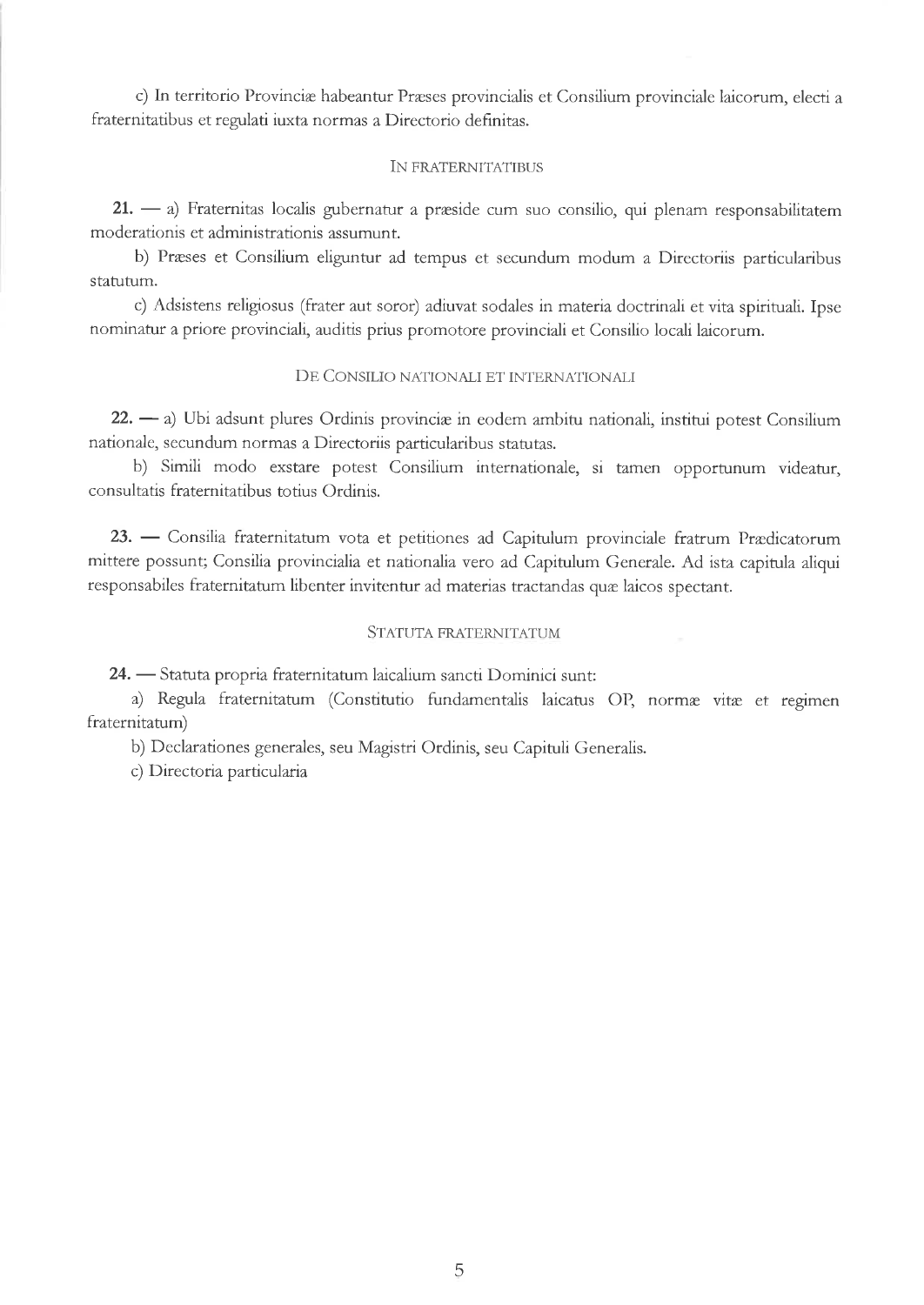c) In territorio Provinciæ habeantur Præses provincialis et Consilium provinciale laicorum, electi a fraternitatibus et regulati iuxta normas a Directorio definitas.

## IN FRATERNITATIBUS

21. — a) Fraternitas localis gubernatur a præside cum suo consilio, qui plenam responsabilitaten 21. — aj Fraterinas localis gubernatur.<br>moderationis et administrationis assumunt.

b) Præses et Consilium eliguntur ad tempus et secundum modum a Directoriis particularibus statutum.

c) Adsistens religiosus (frzter aut soror) adiuvzt sodales in materiz doctrinali et vita spirituali. Ipse nominatur a priore provinciali, auditis prius promotore provinciali et Consilio locali laicorum.

# DE CONSILIO NATIONALI ET INTERNATIONALI

22. — a) Ubi adsunt plures Ordinis provinciæ in eodem ambitu nationali, institui potest Consilium<br>ionale acquadum normes e Directoriis pertinderibus etabates nationale, secundum normas a Directoriis particularibus statutas.

b) Simili modo exstare potest Consilium internationale, si tamen opportunum videatur, consultatis fraternitatibus to tius Ordinis.

23. — Consilia fraternitatum vota et petitiones ad Capitulum provinciale fratrum Prædicatorun 25. — Consina riaterintatum vota et petitiones au Capitulum provinciale fratrum Prædicatorum<br>mittere possunt; Consilia provincialia et nationalia vero ad Capitulum Generale. Ad ista capitula aliqui responsabiles fraternitatum libenter invitentur ad materias trzctandas quæ laicos spectant.

## STATUTA FRATERNITATUM

24. Statuta propria fraternitatum laicalium sanctì Dominici sunt: -<br>A

a) Regula fraternitatum (Constitutio fundamentalis laicatus OP, normæ vitæ et regimen fraternitatum)

b) Declarationes generales, seu Magrstri Ordinis, seu Capituli Generalis.

c) Directoria particularia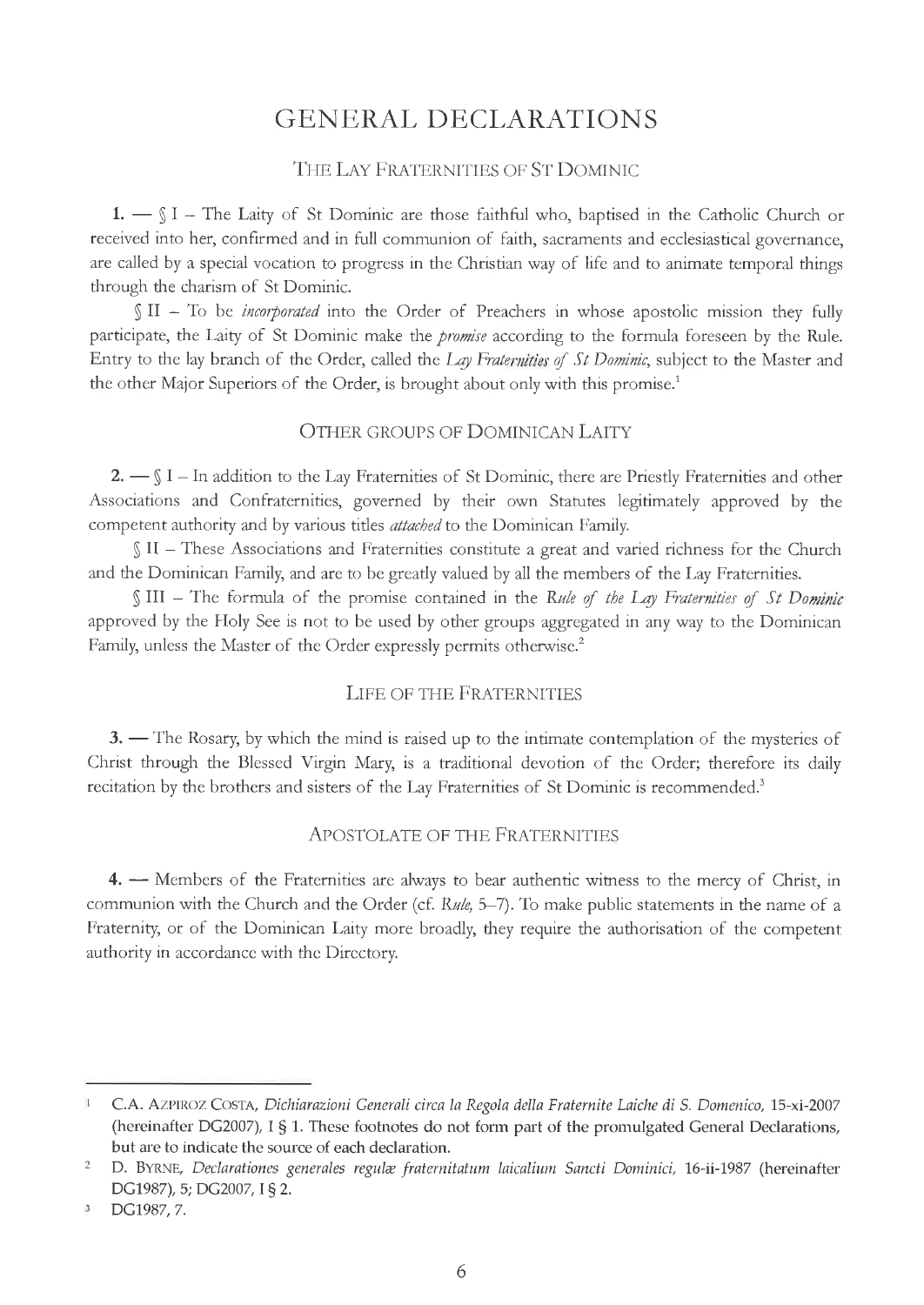# GENERAL DECLARATIONS

# THE LAY FRATERNITIES OF ST DOMINIC

 $1. - \S$  I - The Laity of St Dominic are those faithful who, baptised in the Catholic Church or received into her, confirmed and in full communion of faith, sacraments and ecclesiastical governance, are called by a special vocation to progress in the Christian way of life and to animate temporal things through the charism of St Dominic.

 $\int \ln 1$  To be *incorporated* into the Order of Preachers in whose apostolic mission they fully participate, the Laity of St Dominic make the *promise* according to the formula foreseen by the Rule. Entry to the lay branch of the Order, called the Lay Fraternities of St Dominic, subject to the Master and the other Major Superiors of the Order, is brought about only with this promise.<sup>1</sup>

# OTHER GROUPS OF DOMINICAN LAITY

 $2. - \int I - \ln$  addition to the Lay Fraternities of St Dominic, there are Priestly Fraternities and other Associations and Confraternities, governed by their own Statutes legitimately approved by the competent authority and by various titles *attached* to the Dominican Family.

§ II - These Associations and Fraternities constitute a great and varied richness for the Church and the Dominican Family, and are to be greatly valued by all the members of the Lay Fraternities.

§ III - The formula of the promise contained in the Rule of the Lay Fraternities of St Dominic approved by the Holy See is not to be used by other groups aggregated in any way to the Dominican Family, unless the Master of the Order expressly permits otherwise.<sup>2</sup>

# LIFE OF THE FRATERNITIES

3. — The Rosary, by which the mind is raised up to the intimate contemplation of the mysteries of 5. The Rosary, by which the finite is raised up to the infinite contemplation of the Inysteries of<br>Christ through the Blessed Virgin Mary, is a traditional devotion of the Order; therefore its daily recitation by the brothers and sisters of the Lay Fraternities of St Dominic is recommended.<sup>3</sup>

# Apostolate of the Fraternities

4. - Members of the Fraternities are always to bear authentic witness to the mercy of Christ, in The members of the Fratermies are aways to bear additentic whites to the fiercy of Christ, in communion with the Church and the Order (cf. Rule, 5–7). To make public statements in the name of a Fraternity, or of the Dominican Laity more broadly, they require the authorisation of the competent authority in accordancc with thc Dircctory.

C.A. AZPIROZ COSTA, Dichiarazioni Generali circa la Regola della Fraternite Laiche di S. Domenico, 15-xi-2007  $\mathbf{1}$ (hereinafter DG2007), I § 1. These footnotes do not form part of the promulgated General Declarations, but are to indicate the source of each declaration.

D. BYRNE, Declarationes generales regulæ fraternitatum laicalium Sancti Dominici, 16-ii-1987 (hereinafter DG1987), 5; DG2007, I § 2. 2

 $\mathbf{3}$ DG1987,7.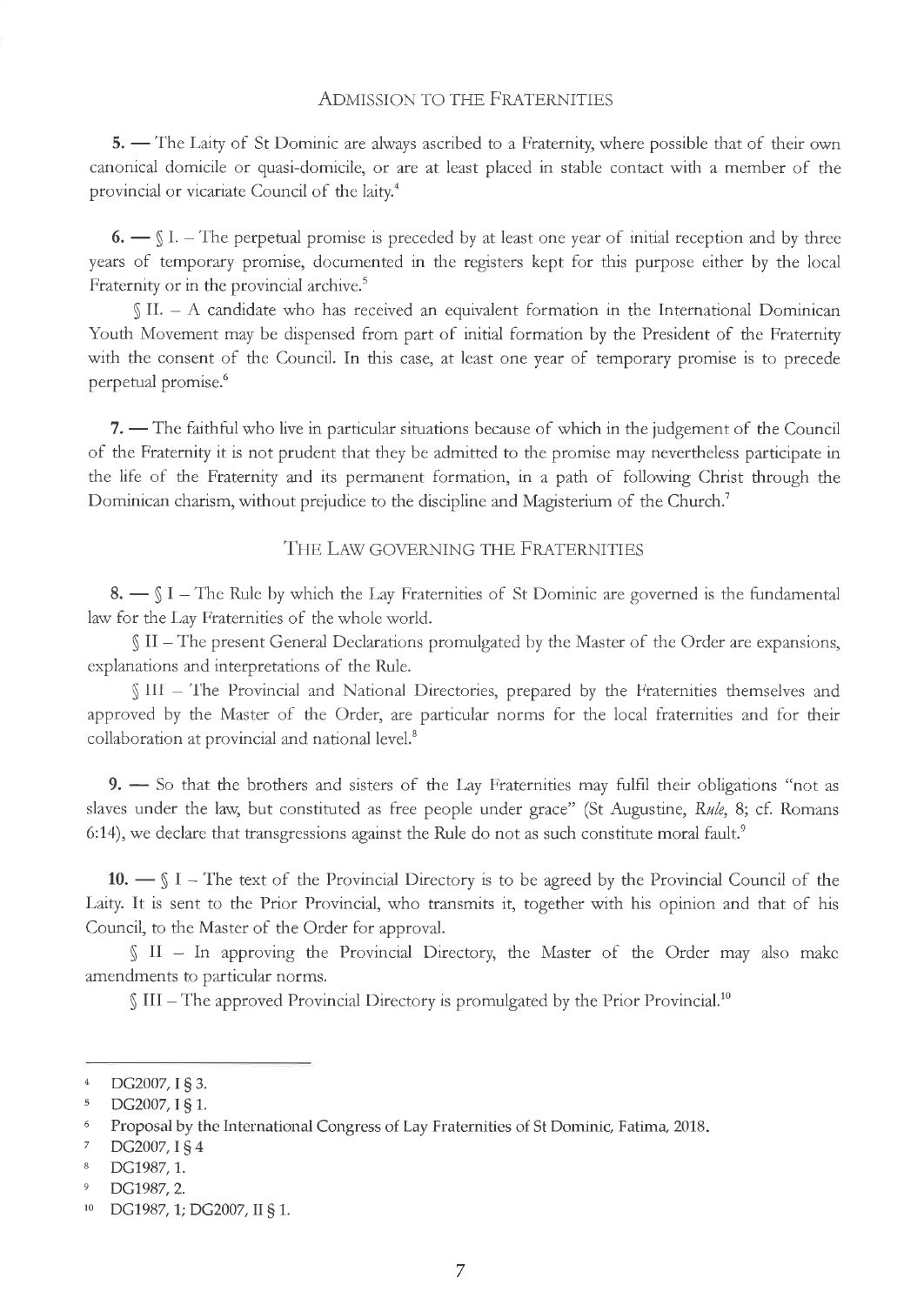## **ADMISSION TO THE FRATERNITIES**

5. - The Laity of St Dominic are always ascribed to a Fraternity, where possible that of their own canonical domicile or quasi-domicile, or are at least placed in stable contact with a member of the provincial or vicariate Council of the laity.<sup>4</sup>

 $6.$   $\sim$   $\S$  I. – The perpetual promise is preceded by at least one year of initial reception and by three years of temporary promise, documented in the registers kept for this purpose either by the local Fraternity or in the provincial archive.<sup>5</sup>

§ II. - A candidate who has received an equivalent formation in the International Dominican Youth Movement may be dispensed from part of initial formation by the President of the Fraternity with the consent of the Council. In this case, at least one year of temporary promise is to precede perpetual promise.<sup>6</sup>

7. - The faithful who live in particular situations because of which in the judgement of the Council of the Fraternity it is not prudent that they be admitted to the promise may nevertheless participate in the life of the Fraternity and its permanent formation, in a path of following Christ through the Dominican charism, without prejudice to the discipline and Magisterium of the Church.<sup>7</sup>

# THE LAW GOVERNING THE FRATERNITIES

 $8.$   $\sim$   $\S$  I – The Rule by which the Lay Fraternities of St Dominic are governed is the fundamental law for the Lay Fraternities of the whole world.

§ II – The present General Declarations promulgated by the Master of the Order are expansions, explanations and interpretations of the Rule.

§ III - The Provincial and National Directories, prepared by the Fraternities themselves and approved by the Master of the Order, are particular norms for the local fraternities and for their collaboration at provincial and national level.<sup>8</sup>

9. - So that the brothers and sisters of the Lay Fraternities may fulfil their obligations "not as slaves under the law, but constituted as free people under grace" (St Augustine, Rule, 8; cf. Romans 6:14), we declare that transgressions against the Rule do not as such constitute moral fault.<sup>9</sup>

10.  $\text{S}$  I – The text of the Provincial Directory is to be agreed by the Provincial Council of the Laity. It is sent to the Prior Provincial, who transmits it, together with his opinion and that of his Council, to the Master of the Order for approval.

II - In approving the Provincial Directory, the Master of the Order may also make amendments to particular norms.

 $\int$  III – The approved Provincial Directory is promulgated by the Prior Provincial.<sup>10</sup>

- $\,$  8  $\,$ DG1987, 1.
- $\overline{9}$ DG1987, 2.

 $\overline{4}$ DG2007, I § 3.

 $\overline{5}$ DG2007, I § 1.

Proposal by the International Congress of Lay Fraternities of St Dominic, Fatima, 2018.  $\overline{6}$ 

 $\overline{7}$ DG2007, I § 4

 $10\,$ DG1987, 1; DG2007, II § 1.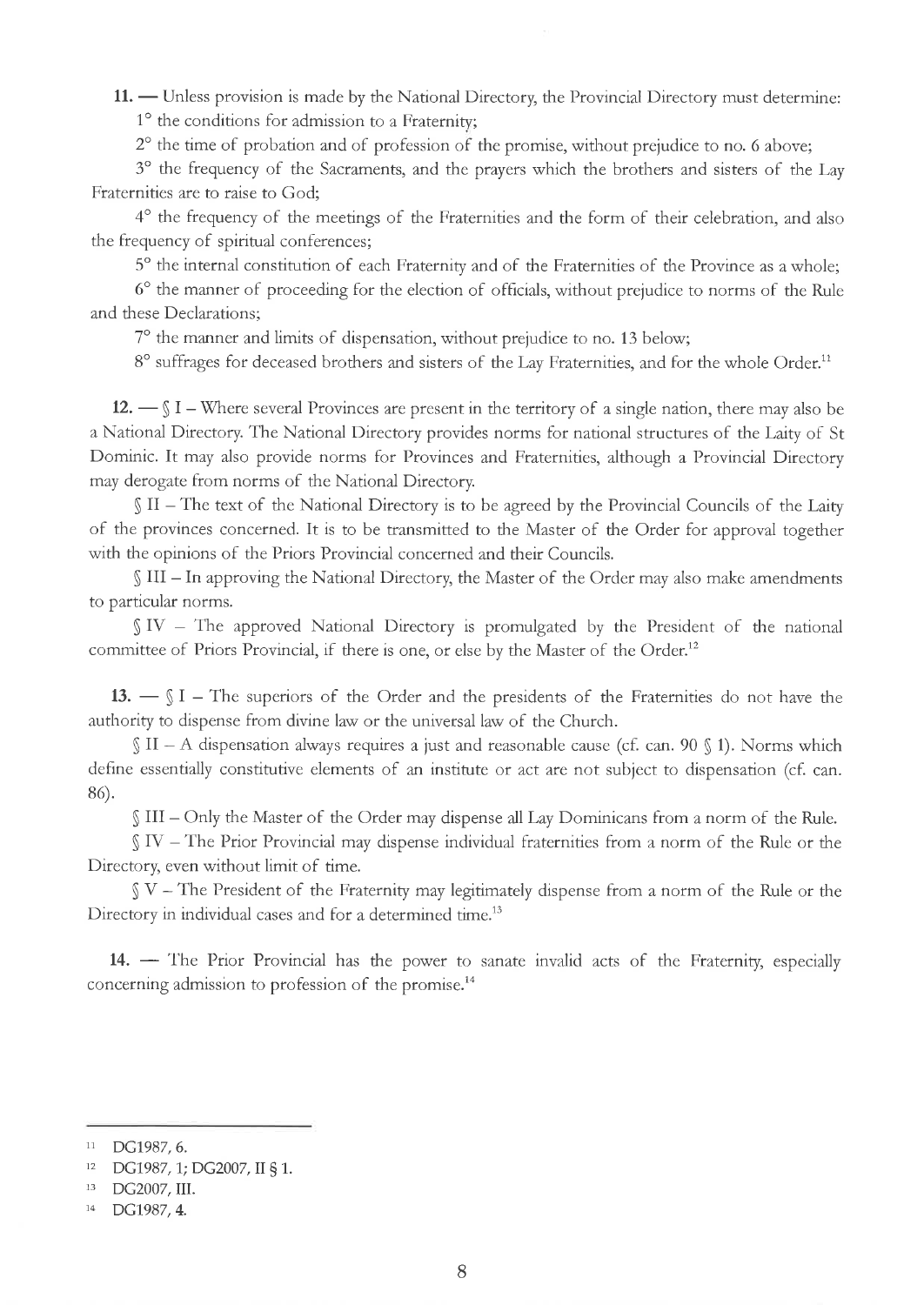11. — Unless provision is made by the National Directory, the Provincial Directory must determine - 1" the conditions for admission to a Fraternity;

 $2^{\circ}$  the time of probation and of profession of the promise, without prejudice to no. 6 above;

3° the frequency of the Sacraments, and the prayers which the brothers and sisters of the Lay Fraternities are to raise to God;

4o the frequency of the meetings of the Fraternities and the form of their celebration, and also the frequency of spiritual conferences;

5° the internal constitution of each Fraternity and of the Fraternities of the Province as a whole;

6<sup>o</sup> the manner of proceeding for the election of officials, without prejudice to norms of the Rule and these Declarations;

7° the manner and limits of dispensation, without prejudice to no. 13 below;

8° suffrages for deceased brothers and sisters of the Lay Fraternities, and for the whole Order.<sup>11</sup>

 $12. - \S$  I – Where several Provinces are present in the territory of a single nation, there may also be a National Directory. The National Directory provides norms for national structures of the Laity of St Dominic. It may also provide norms for Provinces and Fraternities, although a Provincial Directory may derogate from norms of the National Directory.

 $\int$  II – The text of the National Directory is to be agreed by the Provincial Councils of the Laity of the provinces concerned. It is to be transmitted to the Master of the Order for approval together with the opinions of the Priors Provincial concerned and their Councils.

§ III - In approving the National Directory, the Master of the Order may also make amendments to particular norms.

 $S IV - The$  approved National Directory is promulgated by the President of the national committee of Priors Provincial, if there is one, or else by the Master of the Order.<sup>12</sup>

13.  $\text{I} = \text{I} - \text{I}$  The superiors of the Order and the presidents of the Fraternities do not have the  $\frac{1}{x}$   $\frac{1}{y}$   $\frac{1}{x}$  = The superiors of the Order and the presidents of the Church.

 $\int$  II - A dispensation always requires a just and reasonable cause (cf. can. 90  $\int$  1). Norms which define essentially constitutive elements of an institute or act are not subject to dispensation (cf. can. 8ó).

\$ III - Only the Master of the Order may dispense all Lay Dominicans from a norm of the Rule.

 $S IV - The Prior Provincia may dispense individual fraternities from a norm of the Rule or the$ Directory, even without limit of time.

 $N -$  The President of the Fraternity may legitimately dispense from a norm of the Rule or the Directory in individual cases and for a determined time.<sup>13</sup>

14. - The Prior Provincial has the power to sanate invalid acts of the Fraternity, especially concerning admission to profession of the promise.<sup>14</sup>

<sup>11</sup> DC1987,6.

<sup>12</sup> DG1987,1; DG2007, II \$ 1.

<sup>13</sup> DG2007, III.

<sup>&</sup>lt;sup>14</sup> DG1987, 4.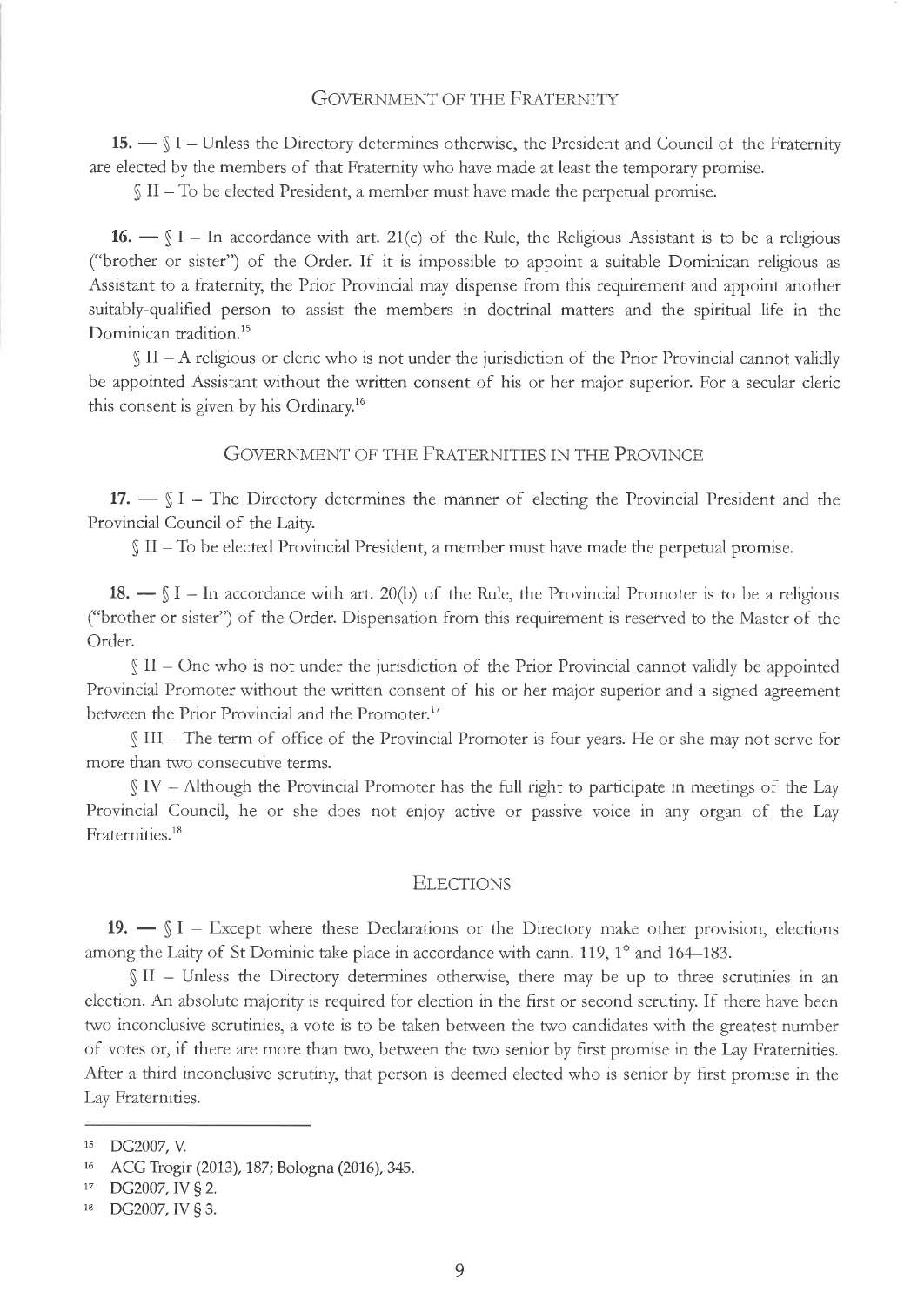# **GOVERNMENT OF THE FRATERNITY**

15. - SI - Unless the Directory determines otherwise, the President and Council of the Fraternity are elected by the members of that Fraternity who have made at least the temporary promise.

 $\int \Pi - T_0$  be elected President, a member must have made the perpetual promise.

16.  $\text{I} = \text{I} - \text{In accordance with art. } 21(c)$  of the Rule, the Religious Assistant is to be a religious ("brother or sister") of the Order. If it is impossible to appoint a suitable Dominican religious as Assistant to a fraternity, the Prior Provincial may dispense from this requirement and appoint another suitably-qualified person to assist the members in doctrinal matters and the spiritual life in the Dominican tradition.<sup>15</sup>

 $\int$  II – A religious or cleric who is not under the jurisdiction of the Prior Provincial cannot validly be appointed Assistant without the written consent of his or her major superior. For a secular cleric this consent is given by his Ordinary.<sup>16</sup>

# GOVERNMENT OF THE FRATERNITIES IN THE PROVINCE

17.  $\text{S I}$  – The Directory determines the manner of electing the Provincial President and the Provincial Council of the Laity.

 $\int$  II – To be elected Provincial President, a member must have made the perpetual promise.

18.  $\text{I} = \text{I} - \text{In accordance with art. } 20(b)$  of the Rule, the Provincial Promoter is to be a religious ("brother or sister") of the Order. Dispensation from this requirement is reserved to the Master of the Order.

 $\int$  II – One who is not under the jurisdiction of the Prior Provincial cannot validly be appointed Provincial Promoter without the written consent of his or her major superior and a signed agreement between the Prior Provincial and the Promoter.<sup>17</sup>

III – The term of office of the Provincial Promoter is four years. He or she may not serve for more than two consecutive terms.

 $\int$  IV – Although the Provincial Promoter has the full right to participate in meetings of the Lay Provincial Council, he or she does not enjoy active or passive voice in any organ of the Lay Fraternities.<sup>18</sup>

## **ELECTIONS**

19.  $\text{S I}$  – Except where these Declarations or the Directory make other provision, elections among the Laity of St Dominic take place in accordance with cann. 119, 1° and 164–183.

§ II - Unless the Directory determines otherwise, there may be up to three scrutinies in an election. An absolute majority is required for election in the first or second scrutiny. If there have been two inconclusive scrutinies, a vote is to be taken between the two candidates with the greatest number of votes or, if there are more than two, between the two senior by first promise in the Lay Fraternities. After a third inconclusive scrutiny, that person is deemed elected who is senior by first promise in the Lay Fraternities.

<sup>&</sup>lt;sup>15</sup> DG2007, V.

 $16\,$ ACG Trogir (2013), 187; Bologna (2016), 345.

DG2007, IV § 2.  $17\,$ 

<sup>18</sup> DG2007, IV § 3.